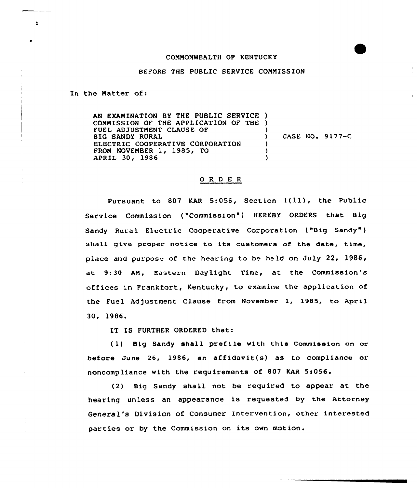## COMMONWEALTH OF KENTUCKY

## BEFORE THE PUBLIC SERVICE COMMISSION

In the Natter of:

 $\bullet$ 

AN EXAMINATION BY THE PUBLIC SERVICE ) COMMISSION OF THE APPLICATION OF THE ) FUEL ADJUSTMENT CLAUSE OF BIG SANDY RURAL ELECTRIC COOPERATIVE CORPORATION FROM NOVEMBER 1, 1985, TO APRIL 30, 1986 ) ) CASE NO. 9177-C ) ) )

## ORDER

Pursuant to <sup>807</sup> KAR 5:056, Section 1{ll), the Public Service Commission ("Commission") HEREBY ORDERS that Big Sandy Rural Electric Cooperative Corporation ("Big Sandy" ) shall give proper notice to its customers of the date, time, place and purpose of the hearing to be held on July 22, 1986, at 9:30 AM, Eastern Daylight Time, at the Commission's offices in Frankfort, Kentucky, to examine the application of the Fuel Adjustment Clause from November 1, 1985, to April 30, 1986.

IT IS FURTHER ORDERED that:

(1) Big Sandy shall prefile with this Commission on or before June 26, 1986, an affidavit(s} as to compliance or noncompliance with the requirements of 807 KAR 5:056.

(2} Big Sandy shall not be required to appear at the hearing unless an appearance is requested by the Attorney General's Division of Consumer Intervention, other interested parties or by the Commission on its own motion.